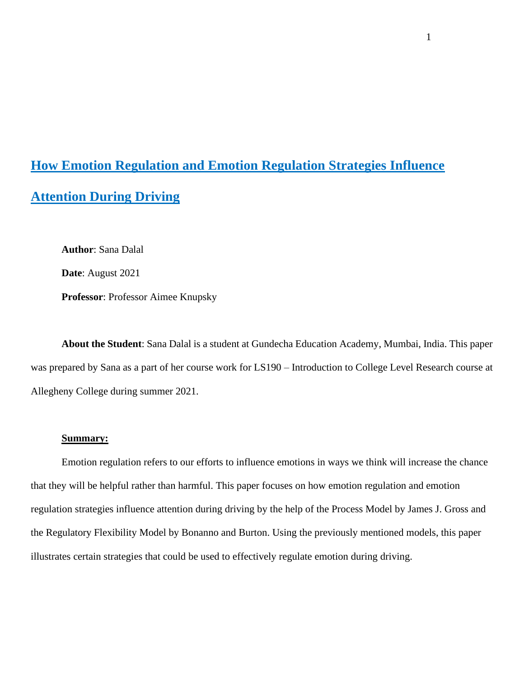# **How Emotion Regulation and Emotion Regulation Strategies Influence Attention During Driving**

**Author**: Sana Dalal

**Date**: August 2021

**Professor**: Professor Aimee Knupsky

**About the Student**: Sana Dalal is a student at Gundecha Education Academy, Mumbai, India. This paper was prepared by Sana as a part of her course work for LS190 – Introduction to College Level Research course at Allegheny College during summer 2021.

### **Summary:**

Emotion regulation refers to our efforts to influence emotions in ways we think will increase the chance that they will be helpful rather than harmful. This paper focuses on how emotion regulation and emotion regulation strategies influence attention during driving by the help of the Process Model by James J. Gross and the Regulatory Flexibility Model by Bonanno and Burton. Using the previously mentioned models, this paper illustrates certain strategies that could be used to effectively regulate emotion during driving.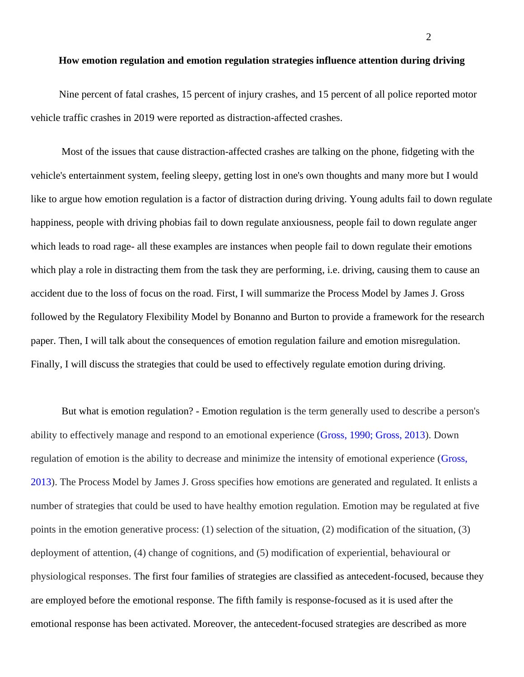#### **How emotion regulation and emotion regulation strategies influence attention during driving**

 Nine percent of fatal crashes, 15 percent of injury crashes, and 15 percent of all police reported motor vehicle traffic crashes in 2019 were reported as distraction-affected crashes.

Most of the issues that cause distraction-affected crashes are talking on the phone, fidgeting with the vehicle's entertainment system, feeling sleepy, getting lost in one's own thoughts and many more but I would like to argue how emotion regulation is a factor of distraction during driving. Young adults fail to down regulate happiness, people with driving phobias fail to down regulate anxiousness, people fail to down regulate anger which leads to road rage- all these examples are instances when people fail to down regulate their emotions which play a role in distracting them from the task they are performing, i.e. driving, causing them to cause an accident due to the loss of focus on the road. First, I will summarize the Process Model by James J. Gross followed by the Regulatory Flexibility Model by Bonanno and Burton to provide a framework for the research paper. Then, I will talk about the consequences of emotion regulation failure and emotion misregulation. Finally, I will discuss the strategies that could be used to effectively regulate emotion during driving.

But what is emotion regulation? - Emotion regulation is the term generally used to describe a person's ability to effectively manage and respond to an emotional experience (Gross, 1990; Gross, 2013). Down regulation of emotion is the ability to decrease and minimize the intensity of emotional experience (Gross, 2013). The Process Model by James J. Gross specifies how emotions are generated and regulated. It enlists a number of strategies that could be used to have healthy emotion regulation. Emotion may be regulated at five points in the emotion generative process: (1) selection of the situation, (2) modification of the situation, (3) deployment of attention, (4) change of cognitions, and (5) modification of experiential, behavioural or physiological responses. The first four families of strategies are classified as antecedent-focused, because they are employed before the emotional response. The fifth family is response-focused as it is used after the emotional response has been activated. Moreover, the antecedent-focused strategies are described as more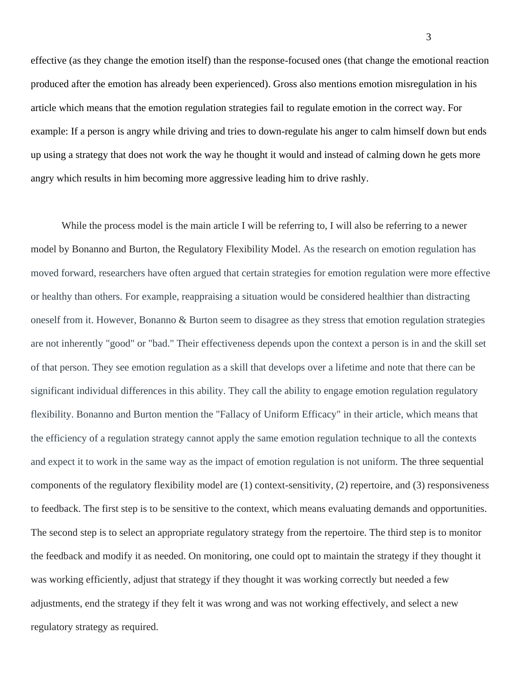effective (as they change the emotion itself) than the response-focused ones (that change the emotional reaction produced after the emotion has already been experienced). Gross also mentions emotion misregulation in his article which means that the emotion regulation strategies fail to regulate emotion in the correct way. For example: If a person is angry while driving and tries to down-regulate his anger to calm himself down but ends up using a strategy that does not work the way he thought it would and instead of calming down he gets more angry which results in him becoming more aggressive leading him to drive rashly.

While the process model is the main article I will be referring to, I will also be referring to a newer model by Bonanno and Burton, the Regulatory Flexibility Model. As the research on emotion regulation has moved forward, researchers have often argued that certain strategies for emotion regulation were more effective or healthy than others. For example, reappraising a situation would be considered healthier than distracting oneself from it. However, Bonanno & Burton seem to disagree as they stress that emotion regulation strategies are not inherently "good" or "bad." Their effectiveness depends upon the context a person is in and the skill set of that person. They see emotion regulation as a skill that develops over a lifetime and note that there can be significant individual differences in this ability. They call the ability to engage emotion regulation regulatory flexibility. Bonanno and Burton mention the "Fallacy of Uniform Efficacy" in their article, which means that the efficiency of a regulation strategy cannot apply the same emotion regulation technique to all the contexts and expect it to work in the same way as the impact of emotion regulation is not uniform. The three sequential components of the regulatory flexibility model are (1) context-sensitivity, (2) repertoire, and (3) responsiveness to feedback. The first step is to be sensitive to the context, which means evaluating demands and opportunities. The second step is to select an appropriate regulatory strategy from the repertoire. The third step is to monitor the feedback and modify it as needed. On monitoring, one could opt to maintain the strategy if they thought it was working efficiently, adjust that strategy if they thought it was working correctly but needed a few adjustments, end the strategy if they felt it was wrong and was not working effectively, and select a new regulatory strategy as required.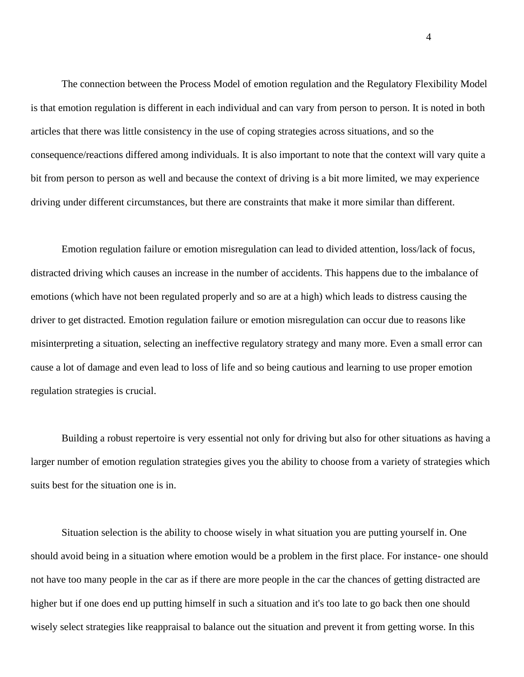The connection between the Process Model of emotion regulation and the Regulatory Flexibility Model is that emotion regulation is different in each individual and can vary from person to person. It is noted in both articles that there was little consistency in the use of coping strategies across situations, and so the consequence/reactions differed among individuals. It is also important to note that the context will vary quite a bit from person to person as well and because the context of driving is a bit more limited, we may experience driving under different circumstances, but there are constraints that make it more similar than different.

Emotion regulation failure or emotion misregulation can lead to divided attention, loss/lack of focus, distracted driving which causes an increase in the number of accidents. This happens due to the imbalance of emotions (which have not been regulated properly and so are at a high) which leads to distress causing the driver to get distracted. Emotion regulation failure or emotion misregulation can occur due to reasons like misinterpreting a situation, selecting an ineffective regulatory strategy and many more. Even a small error can cause a lot of damage and even lead to loss of life and so being cautious and learning to use proper emotion regulation strategies is crucial.

Building a robust repertoire is very essential not only for driving but also for other situations as having a larger number of emotion regulation strategies gives you the ability to choose from a variety of strategies which suits best for the situation one is in.

Situation selection is the ability to choose wisely in what situation you are putting yourself in. One should avoid being in a situation where emotion would be a problem in the first place. For instance- one should not have too many people in the car as if there are more people in the car the chances of getting distracted are higher but if one does end up putting himself in such a situation and it's too late to go back then one should wisely select strategies like reappraisal to balance out the situation and prevent it from getting worse. In this

4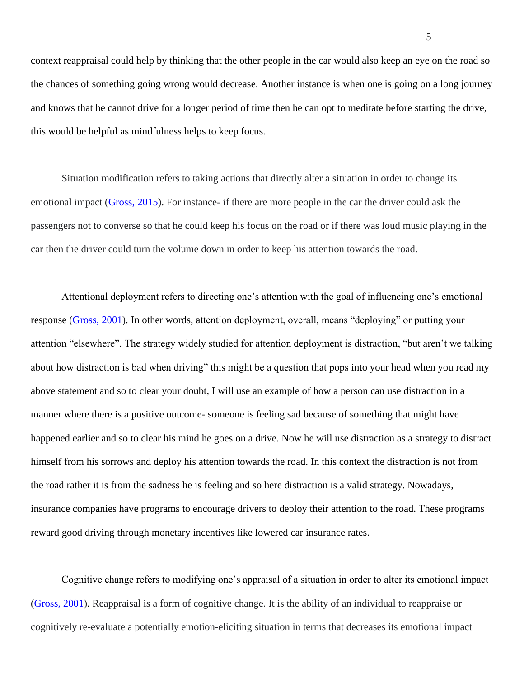context reappraisal could help by thinking that the other people in the car would also keep an eye on the road so the chances of something going wrong would decrease. Another instance is when one is going on a long journey and knows that he cannot drive for a longer period of time then he can opt to meditate before starting the drive, this would be helpful as mindfulness helps to keep focus.

Situation modification refers to taking actions that directly alter a situation in order to change its emotional impact (Gross, 2015). For instance- if there are more people in the car the driver could ask the passengers not to converse so that he could keep his focus on the road or if there was loud music playing in the car then the driver could turn the volume down in order to keep his attention towards the road.

Attentional deployment refers to directing one's attention with the goal of influencing one's emotional response (Gross, 2001). In other words, attention deployment, overall, means "deploying" or putting your attention "elsewhere". The strategy widely studied for attention deployment is distraction, "but aren't we talking about how distraction is bad when driving" this might be a question that pops into your head when you read my above statement and so to clear your doubt, I will use an example of how a person can use distraction in a manner where there is a positive outcome- someone is feeling sad because of something that might have happened earlier and so to clear his mind he goes on a drive. Now he will use distraction as a strategy to distract himself from his sorrows and deploy his attention towards the road. In this context the distraction is not from the road rather it is from the sadness he is feeling and so here distraction is a valid strategy. Nowadays, insurance companies have programs to encourage drivers to deploy their attention to the road. These programs reward good driving through monetary incentives like lowered car insurance rates.

Cognitive change refers to modifying one's appraisal of a situation in order to alter its emotional impact (Gross, 2001). Reappraisal is a form of cognitive change. It is the ability of an individual to reappraise or cognitively re-evaluate a potentially emotion-eliciting situation in terms that decreases its emotional impact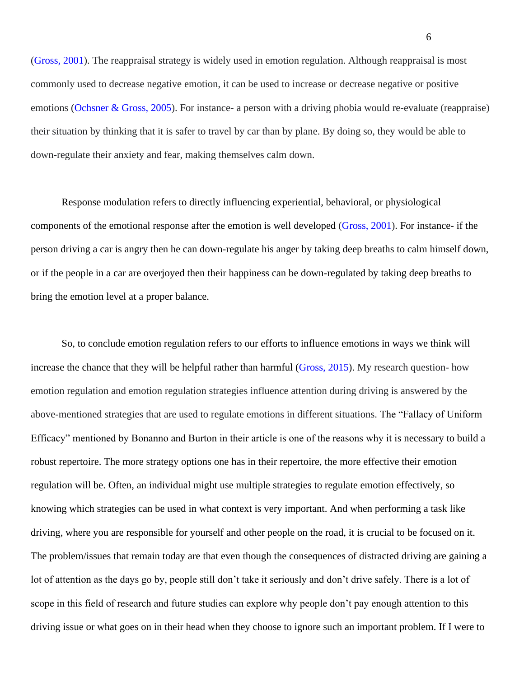(Gross, 2001). The reappraisal strategy is widely used in emotion regulation. Although reappraisal is most commonly used to decrease negative emotion, it can be used to increase or decrease negative or positive emotions (Ochsner & Gross, 2005). For instance- a person with a driving phobia would re-evaluate (reappraise) their situation by thinking that it is safer to travel by car than by plane. By doing so, they would be able to down-regulate their anxiety and fear, making themselves calm down.

Response modulation refers to directly influencing experiential, behavioral, or physiological components of the emotional response after the emotion is well developed (Gross, 2001). For instance- if the person driving a car is angry then he can down-regulate his anger by taking deep breaths to calm himself down, or if the people in a car are overjoyed then their happiness can be down-regulated by taking deep breaths to bring the emotion level at a proper balance.

So, to conclude emotion regulation refers to our efforts to influence emotions in ways we think will increase the chance that they will be helpful rather than harmful (Gross, 2015). My research question- how emotion regulation and emotion regulation strategies influence attention during driving is answered by the above-mentioned strategies that are used to regulate emotions in different situations. The "Fallacy of Uniform Efficacy" mentioned by Bonanno and Burton in their article is one of the reasons why it is necessary to build a robust repertoire. The more strategy options one has in their repertoire, the more effective their emotion regulation will be. Often, an individual might use multiple strategies to regulate emotion effectively, so knowing which strategies can be used in what context is very important. And when performing a task like driving, where you are responsible for yourself and other people on the road, it is crucial to be focused on it. The problem/issues that remain today are that even though the consequences of distracted driving are gaining a lot of attention as the days go by, people still don't take it seriously and don't drive safely. There is a lot of scope in this field of research and future studies can explore why people don't pay enough attention to this driving issue or what goes on in their head when they choose to ignore such an important problem. If I were to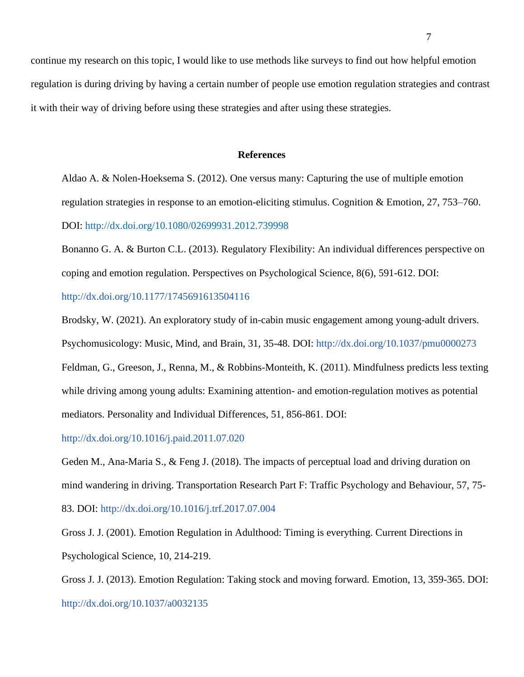continue my research on this topic, I would like to use methods like surveys to find out how helpful emotion regulation is during driving by having a certain number of people use emotion regulation strategies and contrast it with their way of driving before using these strategies and after using these strategies.

#### **References**

Aldao A. & Nolen-Hoeksema S. (2012). One versus many: Capturing the use of multiple emotion regulation strategies in response to an emotion-eliciting stimulus. Cognition & Emotion, 27, 753–760. DOI: [http://dx.doi.org/10.1080/02699931.2012.739998](https://doi.org/10.1080/02699931.2012.739998)

Bonanno G. A. & Burton C.L. (2013). Regulatory Flexibility: An individual differences perspective on coping and emotion regulation. Perspectives on Psychological Science, 8(6), 591-612. DOI:

## <http://dx.doi.org/10.1177/1745691613504116>

Brodsky, W. (2021). An exploratory study of in-cabin music engagement among young-adult drivers. Psychomusicology: Music, Mind, and Brain, 31, 35-48. DOI: <http://dx.doi.org/10.1037/pmu0000273> Feldman, G., Greeson, J., Renna, M., & Robbins-Monteith, K. (2011). Mindfulness predicts less texting while driving among young adults: Examining attention- and emotion-regulation motives as potential mediators. Personality and Individual Differences, 51, 856-861. DOI[:](http://dx.doi.org/10.1016/j.paid.2011.07.020)

<http://dx.doi.org/10.1016/j.paid.2011.07.020>

Geden M., Ana-Maria S., & Feng J. (2018). The impacts of perceptual load and driving duration on mind wandering in driving. Transportation Research Part F: Traffic Psychology and Behaviour, 57, 75- 83. DOI:<http://dx.doi.org/10.1016/j.trf.2017.07.004>

Gross J. J. (2001). Emotion Regulation in Adulthood: Timing is everything. Current Directions in Psychological Science, 10, 214-219.

Gross J. J. (2013). Emotion Regulation: Taking stock and moving forward. Emotion, 13, 359-365. DOI: <http://dx.doi.org/10.1037/a0032135>